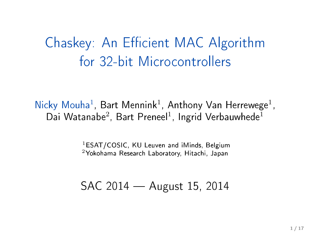## Chaskey: An Ethicient MAC Algorithm for 32-bit Microcontrollers

Nicky Mouha<sup>1</sup>, Bart Mennink<sup>1</sup>, Anthony Van Herrewege<sup>1</sup>, Dai Watanabe $^2$ , Bart Preneel<sup>1</sup>, Ingrid Verbauwhede<sup>1</sup>

> 1ESAT/COSIC, KU Leuven and iMinds, Belgium <sup>2</sup>Yokohama Research Laboratory, Hitachi, Japan

### SAC 2014 August 15, 2014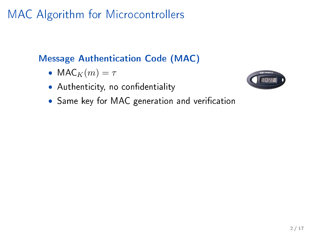MAC Algorithm for Microcontrollers

### **Message Authentication Code (MAC)**

- MAC<sub>K</sub> $(m) = \tau$
- Authenticity, no confidentiality
- 
- Same key for MAC generation and verification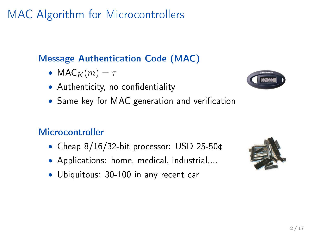**MAC Algorithm for Microcontrollers** mac Algorithm for Michael Algorithm for Michael Algorithm for Michael Algorithm for Michael Algorithm for Mich

### Message Authentication Code (MAC)

- MAC $_K(m) = \tau$
- Authenti
ity, no ondentiality
- Same key for MAC generation and veri
ation

#### **Microcontroller**

- Cheap 8/16/32-bit pro
essor: USD 25-50¢
- Appli
ations: home, medi
al, industrial,...
- Ubiquitous: 30-100 in any re
ent ar



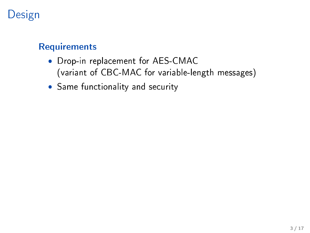## Design

#### **Requirements**

- Drop-in repla
ement for AES-CMAC (variant of CBC-MAC for variable-length messages)
- Same fun
tionality and se
urity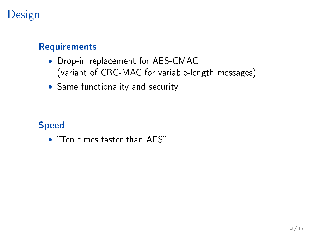## Design

#### **Requirements** Requirements

- Drop-in repla
ement for AES-CMAC (variant of CBC-MAC for variable-length messages)
- Same fun
tionality and se
urity

#### Speed

• "Ten times faster than AES"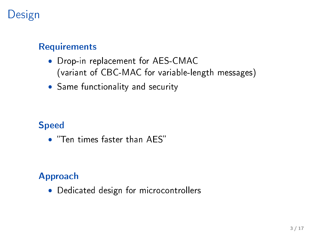## Design

#### **Requirements**

- Drop-in replacement for AES-CMAC (variant of CBC-MAC for variable-length messages)
- Same functionality and security

#### **Speed**

• "Ten times faster than AES"

#### **Approach**

• Dedicated design for microcontrollers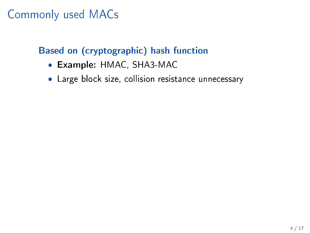### Commonly used MACs

### Based on (cryptographic) hash function

- Example: HMAC, SHA3-MAC
- e under alle size, size is a size is size in the size of  $\mathcal{L}_i$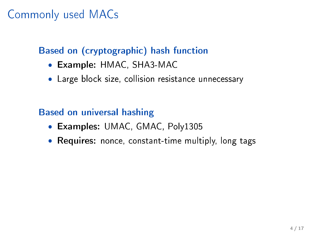### Commonly used MACs

### Based on (cryptographic) hash function

- Example: HMAC, SHA3-MAC
- Large block size, collision resistance unnecessary Large blo
k size, ollision resistan
e unne
essary

### Based on universal hashing

- Examples: UMAC, Polynamic Properties
- requires: cross, concentrative multiply, long tags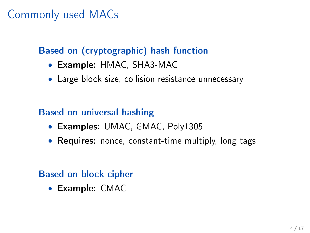#### **Commonly used MACs** Commonly used MACs

### Based on (cryptographic) hash function

- Example: HMAC, SHA3-MAC
- Large block size, collision resistance unnecessary Large blo
k size, ollision resistan
e unne
essary

#### Based on universal hashing

- Examples: UMAC, Polynamic Properties
- requires: cross, concentrative multiply, long tags

#### Based on block cipher

Example: CMAC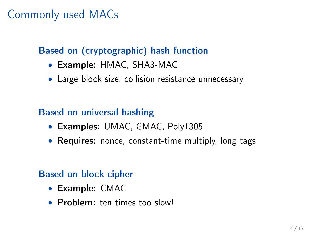#### **Commonly used MACs** Commonly used MACs

### Based on (cryptographic) hash function

- Example: HMAC, SHA3-MAC
- Large block size, collision resistance unnecessary Large blo
k size, ollision resistan
e unne
essary

#### Based on universal hashing

- Examples: UMAC, Polynamic Properties
- requires: cross, concentrative multiply, long tags

#### Based on block cipher

- Example: CMAC
- Problem: ten times too slow!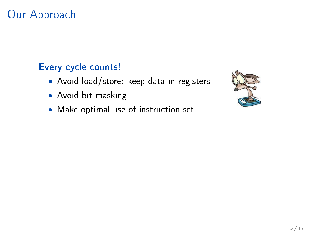### Our Approach

### Every cycle counts!

- · Avoid load/store: keep data in registers
- Avoid bit masking
- Make optimal use of instruction set

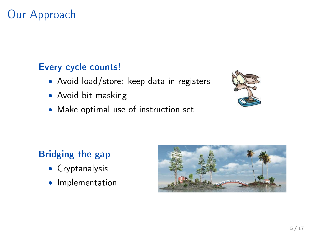### Our Approa
h

### Every cycle counts!

- Avoid load/store: keep data in registers
- Avoid bit masking
- make optimal use of instruments of instruments



### Bridging the gap

- Cryptanalysis
- Implementation

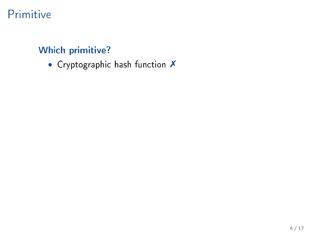### **Which primitive?**

• Cryptographic hash function X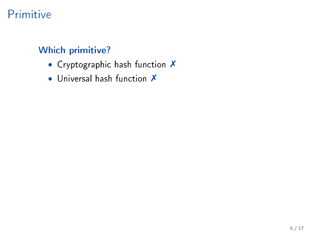### Which primitive?

- Cryptographic hash function X
- Universal hash function X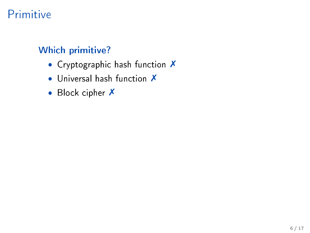### **Which primitive?**

- Cryptographic hash function X
- Universal hash function X
- Block cipher X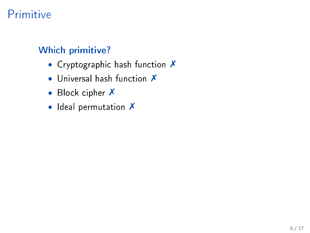### **Which primitive?**

- Cryptographic hash function X
- Universal hash function X
- Block cipher X
- · Ideal permutation X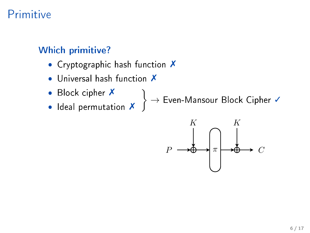### Which primitive?

- Cryptographic hash function X
- Universal hash function X
- Block cipher X
- Ideal permutation X

 $\Big \} \rightarrow$  Even-Mansour Block Cipher  $\checkmark$ 

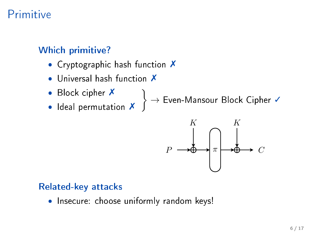### **Which primitive?**

- Cryptographic hash function X
- Universal hash function X
- 
- 

• Block cipher  $\mathbf{x}$ <br>• Ideal permutation  $\mathbf{x}$   $\rightarrow$  Even-Mansour Block Cipher  $\checkmark$ 



#### **Related-key attacks**

· Insecure: choose uniformly random keys!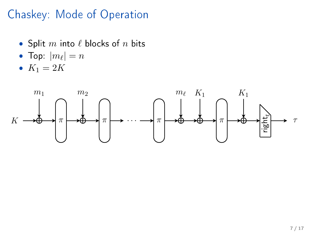### Chaskey: Mode of Operation

- $\bullet\,$  Split  $m$  into  $\ell$  blocks of  $n$  bits
- Top:  $|m_{\ell}|=n$
- $K_1 = 2K$

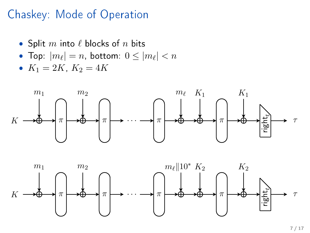#### **Chaskey: Mode of Operation** Chaskey: Mode of Operation

- $\bullet\,$  Split  $m$  into  $\ell$  blocks of  $n$  bits
- Top:  $|m_\ell| = n$ , bottom:  $0 \leq |m_\ell| < n$
- $K_1 = 2K$ ,  $K_2 = 4K$



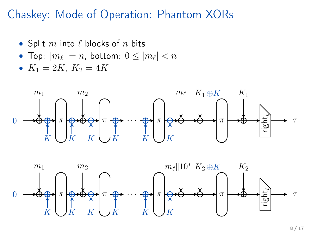Chaskey: Mode of Operation: Phantom XORs Chaskey: Mode of Operation: Phantom XORs

- $\bullet\,$  Split  $m$  into  $\ell$  blocks of  $n$  bits
- Top:  $|m_\ell| = n$ , bottom:  $0 \leq |m_\ell| < n$
- $K_1 = 2K$ ,  $K_2 = 4K$



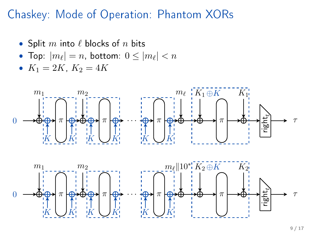Chaskey: Mode of Operation: Phantom XORs Chaskey: Mode of Operation: Phantom XORs

- $\bullet\,$  Split  $m$  into  $\ell$  blocks of  $n$  bits
- Top:  $|m_\ell| = n$ , bottom:  $0 \leq |m_\ell| < n$
- $K_1 = 2K$ ,  $K_2 = 4K$

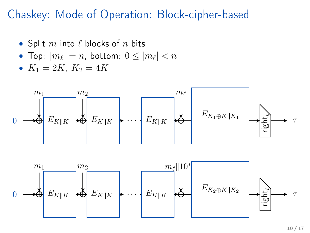Chaskey: Mode of Operation: Block-cipher-based ipher-based of Operation: Mode of Operation: Block of Operation: Block of Operation: Block of Operation: Block

- $\bullet\,$  Split  $m$  into  $\ell$  blocks of  $n$  bits
- Top:  $|m_\ell| = n$ , bottom:  $0 \leq |m_\ell| < n$
- $K_1 = 2K$ ,  $K_2 = 4K$

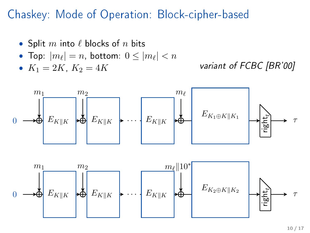Chaskey: Mode of Operation: Block-cipher-based ipher-based of Operation: Mode of Operation: Block of Operation: Block of Operation: Block of Operation: Block

- $\bullet\,$  Split  $m$  into  $\ell$  blocks of  $n$  bits
- Top:  $|m_\ell| = n$ , bottom:  $0 \leq |m_\ell| < n$
- 

•  $K_1 = 2K$ ,  $K_2 = 4K$  variant of FCBC [BR'00]

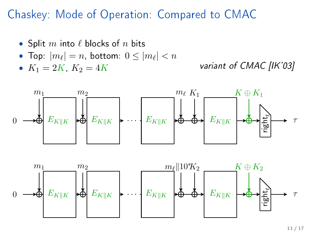- $\bullet\,$  Split  $m$  into  $\ell$  blocks of  $n$  bits
- Top:  $|m_\ell| = n$ , bottom:  $0 \leq |m_\ell| < n$
- 

•  $K_1 = 2K$ ,  $K_2 = 4K$  variant of CMAC [IK'03]



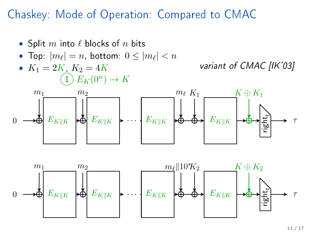

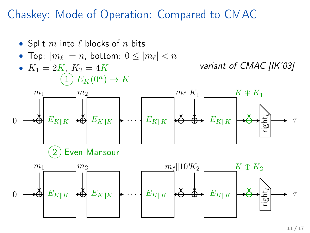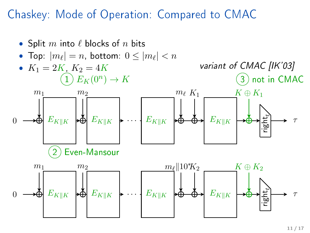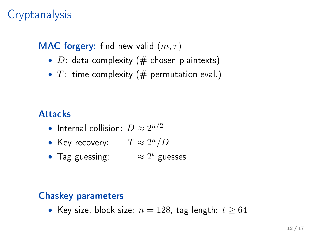### Cryptanalysis

### MAC forgery: find new valid  $(m, \tau)$

- $\bullet$  D: data complexity (# chosen plaintexts)
- $T$  time complexity (# permutation eval.)

#### **Attacks**

- Internal collision:  $D \approx 2^{n/2}$
- Key recovery:  $T \approx 2^n/D$
- Tag guessing:  $\qquad \approx 2^t$  guesses

#### Chaskey parameters

 $\bullet\,$  Key size, block size:  $n=128,\;$  tag length:  $t\ge 64$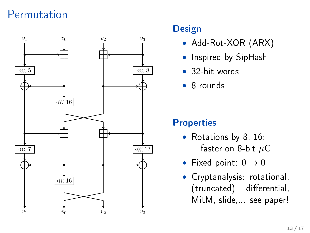### Permutation



#### **Design** die gewone van die koninkelijke koninkelijke koninkelijke koninkelijke koninkelijke koninkelijke koninkelijke

- $\mathcal{A}$  and  $\mathcal{A}$
- Inspired by Siphash Park and the Siphash Park and the Siphash Park and the Siphash Park and the Siphash Park and
- 32-bit words
- $\bullet$  8 rounds

### **Properties**

- Rotations by 8, 16: faster on 8-bit  $\mu$ C
- Fixed point:  $0 \to 0$
- Cryptanalysis: rotational, (truncated) differential, MitM, slide,... see paper!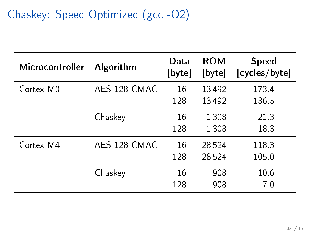## Chaskey: Speed Optimized (gcc-O2)

| Microcontroller | Algorithm    | Data<br>[byte] | <b>ROM</b><br>[byte] | <b>Speed</b><br>[cycles/byte] |
|-----------------|--------------|----------------|----------------------|-------------------------------|
| Cortex-M0       | AES-128-CMAC | 16<br>128      | 13492<br>13492       | 1734<br>136 5                 |
|                 | Chaskey      | 16<br>128      | 1308<br>1308         | 213<br>183                    |
| Cortex-M4       | AES-128-CMAC | 16<br>128      | 28.524<br>28.524     | 1183<br>105.0                 |
|                 | Chaskey      | 16<br>128      | 908<br>908           | 10.6<br>70                    |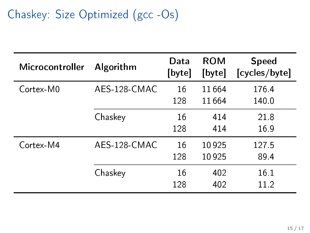## Chaskey: Size Optimized (gcc-Os)

| Microcontroller | Algorithm    | Data<br>[byte] | <b>ROM</b><br>[byte] | <b>Speed</b><br>[cycles/byte] |
|-----------------|--------------|----------------|----------------------|-------------------------------|
| Cortex-M0       | AES-128-CMAC | 16<br>128      | 11664<br>11664       | 1764<br>140.0                 |
|                 | Chaskey      | 16<br>128      | 414<br>414           | 218<br>16.9                   |
| Cortex-M4       | AES-128-CMAC | 16<br>128      | 10925<br>10925       | 1275<br>894                   |
|                 | Chaskey      | 16<br>128      | 402<br>402           | 16 1<br>11.2                  |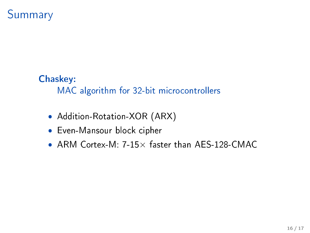### **Summary**

### Chaskey:

#### MAC algorithm for 32-bit microcontrollers

- Addition-Rotation-XOR (ARX)
- Even-Mansour blo
k ipher
- ARM Cortex-M: 7-15 $\times$  faster than AES-128-CMAC